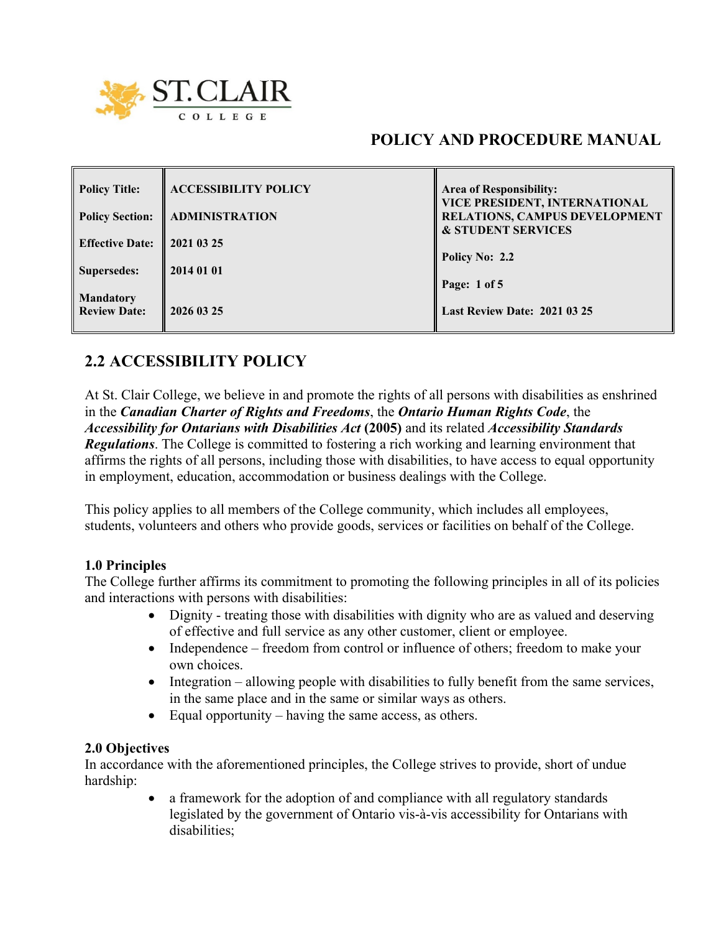

# **POLICY AND PROCEDURE MANUAL**

| <b>Policy Title:</b>   | <b>ACCESSIBILITY POLICY</b> | <b>Area of Responsibility:</b><br>VICE PRESIDENT, INTERNATIONAL |
|------------------------|-----------------------------|-----------------------------------------------------------------|
| <b>Policy Section:</b> | <b>ADMINISTRATION</b>       | RELATIONS, CAMPUS DEVELOPMENT<br><b>&amp; STUDENT SERVICES</b>  |
| <b>Effective Date:</b> | 2021 03 25                  | Policy No: 2.2                                                  |
| <b>Supersedes:</b>     | 2014 01 01                  | Page: $1 of 5$                                                  |
| <b>Mandatory</b>       |                             |                                                                 |
| <b>Review Date:</b>    | 2026 03 25                  | <b>Last Review Date: 2021 03 25</b>                             |

# **2.2 ACCESSIBILITY POLICY**

At St. Clair College, we believe in and promote the rights of all persons with disabilities as enshrined in the *Canadian Charter of Rights and Freedoms*, the *Ontario Human Rights Code*, the *Accessibility for Ontarians with Disabilities Act* **(2005)** and its related *Accessibility Standards Regulations*. The College is committed to fostering a rich working and learning environment that affirms the rights of all persons, including those with disabilities, to have access to equal opportunity in employment, education, accommodation or business dealings with the College.

This policy applies to all members of the College community, which includes all employees, students, volunteers and others who provide goods, services or facilities on behalf of the College.

### **1.0 Principles**

The College further affirms its commitment to promoting the following principles in all of its policies and interactions with persons with disabilities:

- Dignity treating those with disabilities with dignity who are as valued and deserving of effective and full service as any other customer, client or employee.
- Independence freedom from control or influence of others; freedom to make your own choices.
- Integration allowing people with disabilities to fully benefit from the same services, in the same place and in the same or similar ways as others.
- Equal opportunity having the same access, as others.

#### **2.0 Objectives**

In accordance with the aforementioned principles, the College strives to provide, short of undue hardship:

> • a framework for the adoption of and compliance with all regulatory standards legislated by the government of Ontario vis-à-vis accessibility for Ontarians with disabilities;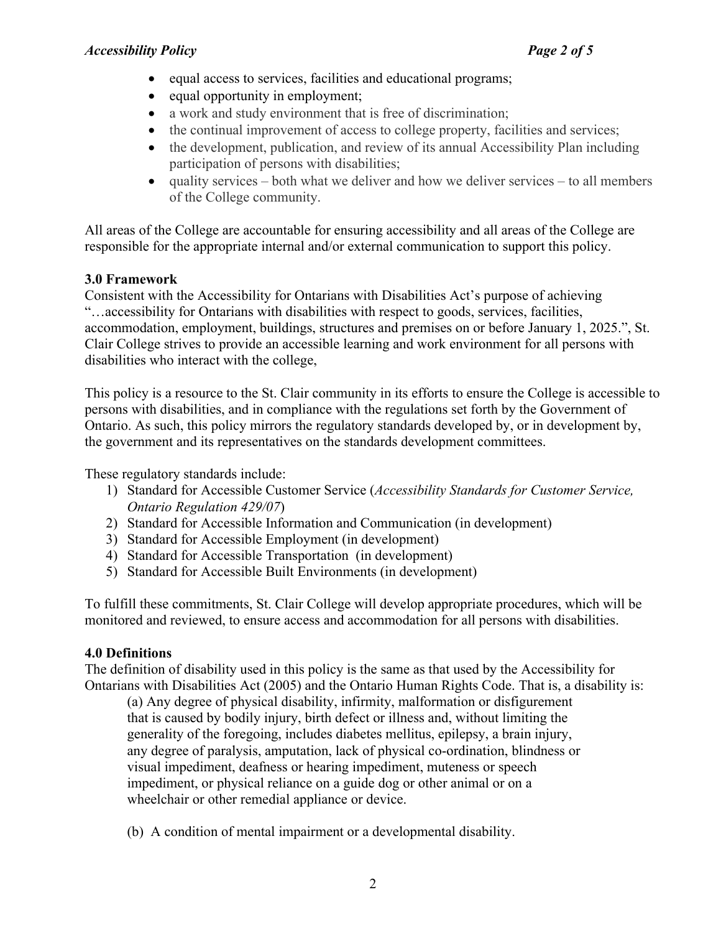- equal access to services, facilities and educational programs;
- equal opportunity in employment;
- a work and study environment that is free of discrimination;
- the continual improvement of access to college property, facilities and services;
- the development, publication, and review of its annual Accessibility Plan including participation of persons with disabilities;
- $\bullet$  quality services both what we deliver and how we deliver services to all members of the College community.

All areas of the College are accountable for ensuring accessibility and all areas of the College are responsible for the appropriate internal and/or external communication to support this policy.

# **3.0 Framework**

Consistent with the Accessibility for Ontarians with Disabilities Act's purpose of achieving "…accessibility for Ontarians with disabilities with respect to goods, services, facilities, accommodation, employment, buildings, structures and premises on or before January 1, 2025.", St. Clair College strives to provide an accessible learning and work environment for all persons with disabilities who interact with the college,

This policy is a resource to the St. Clair community in its efforts to ensure the College is accessible to persons with disabilities, and in compliance with the regulations set forth by the Government of Ontario. As such, this policy mirrors the regulatory standards developed by, or in development by, the government and its representatives on the standards development committees.

These regulatory standards include:

- 1) Standard for Accessible Customer Service (*Accessibility Standards for Customer Service, Ontario Regulation 429/07*)
- 2) Standard for Accessible Information and Communication (in development)
- 3) Standard for Accessible Employment (in development)
- 4) Standard for Accessible Transportation (in development)
- 5) Standard for Accessible Built Environments (in development)

To fulfill these commitments, St. Clair College will develop appropriate procedures, which will be monitored and reviewed, to ensure access and accommodation for all persons with disabilities.

# **4.0 Definitions**

The definition of disability used in this policy is the same as that used by the Accessibility for Ontarians with Disabilities Act (2005) and the Ontario Human Rights Code. That is, a disability is:

(a) Any degree of physical disability, infirmity, malformation or disfigurement that is caused by bodily injury, birth defect or illness and, without limiting the generality of the foregoing, includes diabetes mellitus, epilepsy, a brain injury, any degree of paralysis, amputation, lack of physical co-ordination, blindness or visual impediment, deafness or hearing impediment, muteness or speech impediment, or physical reliance on a guide dog or other animal or on a wheelchair or other remedial appliance or device.

(b) A condition of mental impairment or a developmental disability.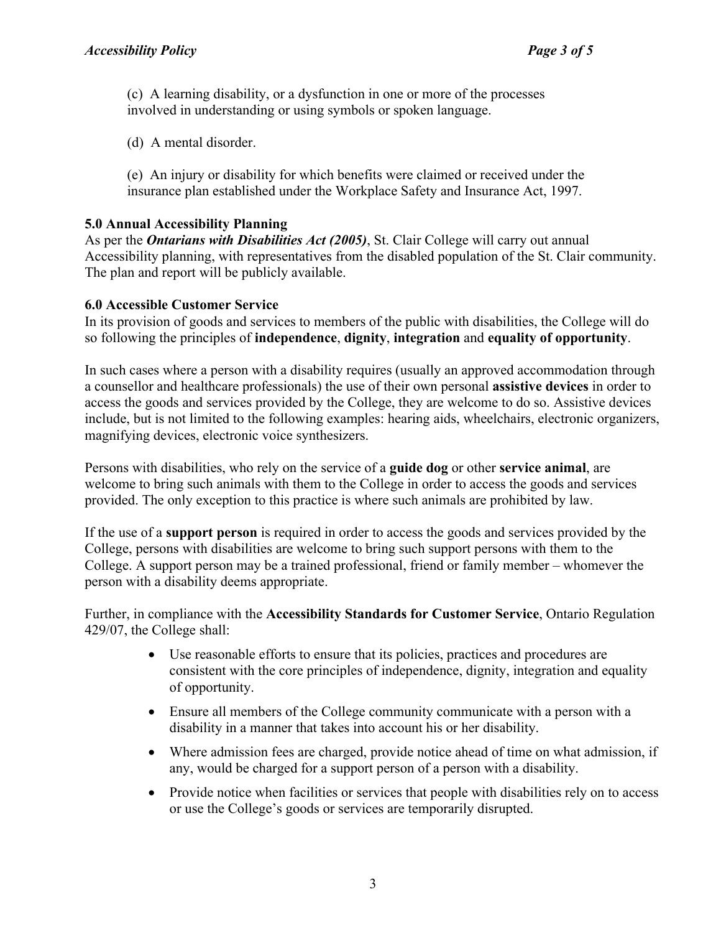(c) A learning disability, or a dysfunction in one or more of the processes involved in understanding or using symbols or spoken language.

(d) A mental disorder.

(e) An injury or disability for which benefits were claimed or received under the insurance plan established under the Workplace Safety and Insurance Act, 1997.

# **5.0 Annual Accessibility Planning**

As per the *Ontarians with Disabilities Act (2005)*, St. Clair College will carry out annual Accessibility planning, with representatives from the disabled population of the St. Clair community. The plan and report will be publicly available.

# **6.0 Accessible Customer Service**

In its provision of goods and services to members of the public with disabilities, the College will do so following the principles of **independence**, **dignity**, **integration** and **equality of opportunity**.

In such cases where a person with a disability requires (usually an approved accommodation through a counsellor and healthcare professionals) the use of their own personal **assistive devices** in order to access the goods and services provided by the College, they are welcome to do so. Assistive devices include, but is not limited to the following examples: hearing aids, wheelchairs, electronic organizers, magnifying devices, electronic voice synthesizers.

Persons with disabilities, who rely on the service of a **guide dog** or other **service animal**, are welcome to bring such animals with them to the College in order to access the goods and services provided. The only exception to this practice is where such animals are prohibited by law.

If the use of a **support person** is required in order to access the goods and services provided by the College, persons with disabilities are welcome to bring such support persons with them to the College. A support person may be a trained professional, friend or family member – whomever the person with a disability deems appropriate.

Further, in compliance with the **Accessibility Standards for Customer Service**, Ontario Regulation 429/07, the College shall:

- Use reasonable efforts to ensure that its policies, practices and procedures are consistent with the core principles of independence, dignity, integration and equality of opportunity.
- Ensure all members of the College community communicate with a person with a disability in a manner that takes into account his or her disability.
- Where admission fees are charged, provide notice ahead of time on what admission, if any, would be charged for a support person of a person with a disability.
- Provide notice when facilities or services that people with disabilities rely on to access or use the College's goods or services are temporarily disrupted.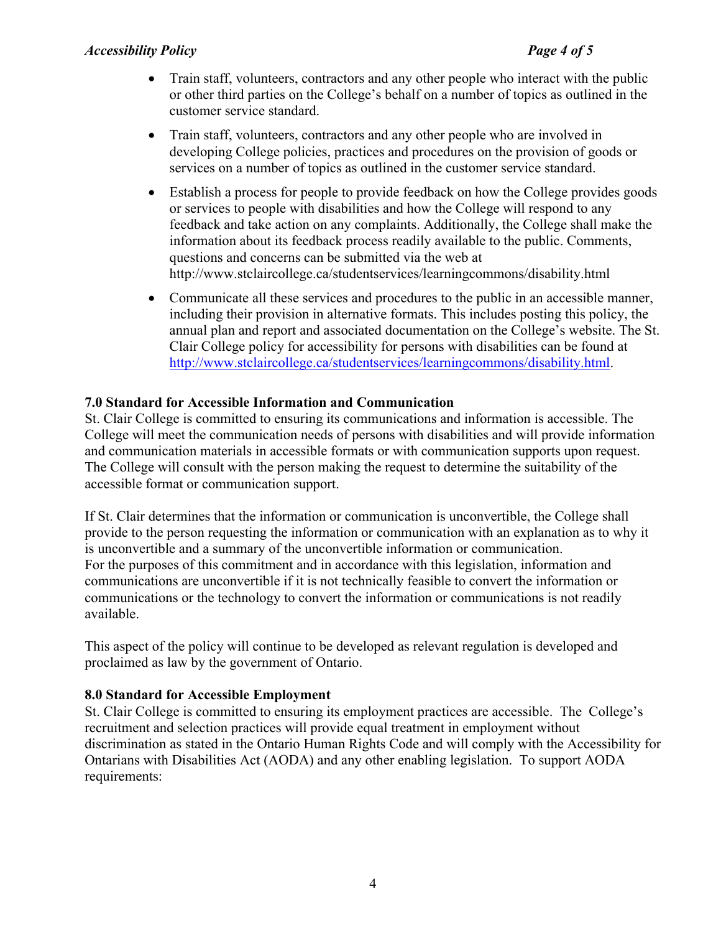### *Accessibility Policy Page 4 of 5*

- Train staff, volunteers, contractors and any other people who interact with the public or other third parties on the College's behalf on a number of topics as outlined in the customer service standard.
- Train staff, volunteers, contractors and any other people who are involved in developing College policies, practices and procedures on the provision of goods or services on a number of topics as outlined in the customer service standard.
- Establish a process for people to provide feedback on how the College provides goods or services to people with disabilities and how the College will respond to any feedback and take action on any complaints. Additionally, the College shall make the information about its feedback process readily available to the public. Comments, questions and concerns can be submitted via the web at http://www.stclaircollege.ca/studentservices/learningcommons/disability.html
- Communicate all these services and procedures to the public in an accessible manner, including their provision in alternative formats. This includes posting this policy, the annual plan and report and associated documentation on the College's website. The St. Clair College policy for accessibility for persons with disabilities can be found at [http://www.stclaircollege.ca/studentservices/learningcommons/disability.html.](http://www.stclaircollege.ca/studentservices/learningcommons/disability.html)

#### **7.0 Standard for Accessible Information and Communication**

St. Clair College is committed to ensuring its communications and information is accessible. The College will meet the communication needs of persons with disabilities and will provide information and communication materials in accessible formats or with communication supports upon request. The College will consult with the person making the request to determine the suitability of the accessible format or communication support.

If St. Clair determines that the information or communication is unconvertible, the College shall provide to the person requesting the information or communication with an explanation as to why it is unconvertible and a summary of the unconvertible information or communication. For the purposes of this commitment and in accordance with this legislation, information and communications are unconvertible if it is not technically feasible to convert the information or communications or the technology to convert the information or communications is not readily available.

This aspect of the policy will continue to be developed as relevant regulation is developed and proclaimed as law by the government of Ontario.

#### **8.0 Standard for Accessible Employment**

St. Clair College is committed to ensuring its employment practices are accessible. The College's recruitment and selection practices will provide equal treatment in employment without discrimination as stated in the Ontario Human Rights Code and will comply with the Accessibility for Ontarians with Disabilities Act (AODA) and any other enabling legislation. To support AODA requirements: